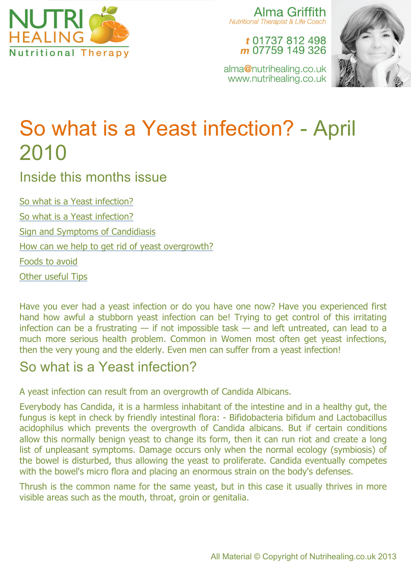

Alma Griffith **Nutritional Therapist & Life Coach** 

> t 01737 812 498 m 07759 149 326

alma@nutrihealing.co.uk www.nutrihealing.co.uk



# So what is a Yeast infection? - April 2010

Inside this months issue

So what is a Yeast infection? So what is a Yeast infection? Sign and Symptoms of Candidiasis How can we help to get rid of yeast overgrowth? Foods to avoid Other useful Tips

Have you ever had a yeast infection or do you have one now? Have you experienced first hand how awful a stubborn yeast infection can be! Trying to get control of this irritating infection can be a frustrating  $-$  if not impossible task  $-$  and left untreated, can lead to a much more serious health problem. Common in Women most often get yeast infections, then the very young and the elderly. Even men can suffer from a yeast infection!

### So what is a Yeast infection?

A yeast infection can result from an overgrowth of Candida Albicans.

Everybody has Candida, it is a harmless inhabitant of the intestine and in a healthy gut, the fungus is kept in check by friendly intestinal flora: - Bifidobacteria bifidum and Lactobacillus acidophilus which prevents the overgrowth of Candida albicans. But if certain conditions allow this normally benign yeast to change its form, then it can run riot and create a long list of unpleasant symptoms. Damage occurs only when the normal ecology (symbiosis) of the bowel is disturbed, thus allowing the yeast to proliferate. Candida eventually competes with the bowel's micro flora and placing an enormous strain on the body's defenses.

Thrush is the common name for the same yeast, but in this case it usually thrives in more visible areas such as the mouth, throat, groin or genitalia.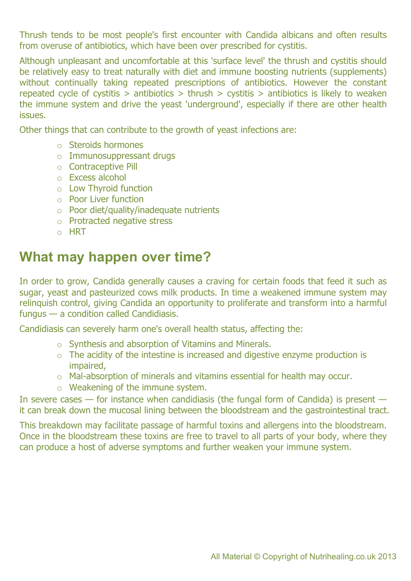Thrush tends to be most people's first encounter with Candida albicans and often results from overuse of antibiotics, which have been over prescribed for cystitis.

Although unpleasant and uncomfortable at this 'surface level' the thrush and cystitis should be relatively easy to treat naturally with diet and immune boosting nutrients (supplements) without continually taking repeated prescriptions of antibiotics. However the constant repeated cycle of cystitis > antibiotics > thrush > cystitis > antibiotics is likely to weaken the immune system and drive the yeast 'underground', especially if there are other health issues.

Other things that can contribute to the growth of yeast infections are:

- o Steroids hormones
- o Immunosuppressant drugs
- o Contraceptive Pill
- o Excess alcohol
- o Low Thyroid function
- o Poor Liver function
- o Poor diet/quality/inadequate nutrients
- o Protracted negative stress
- o HRT

#### **What may happen over time?**

In order to grow, Candida generally causes a craving for certain foods that feed it such as sugar, yeast and pasteurized cows milk products. In time a weakened immune system may relinquish control, giving Candida an opportunity to proliferate and transform into a harmful fungus — a condition called Candidiasis.

Candidiasis can severely harm one's overall health status, affecting the:

- o Synthesis and absorption of Vitamins and Minerals.
- o The acidity of the intestine is increased and digestive enzyme production is impaired,
- o Mal-absorption of minerals and vitamins essential for health may occur.
- o Weakening of the immune system.

In severe cases  $-$  for instance when candidiasis (the fungal form of Candida) is present  $$ it can break down the mucosal lining between the bloodstream and the gastrointestinal tract.

This breakdown may facilitate passage of harmful toxins and allergens into the bloodstream. Once in the bloodstream these toxins are free to travel to all parts of your body, where they can produce a host of adverse symptoms and further weaken your immune system.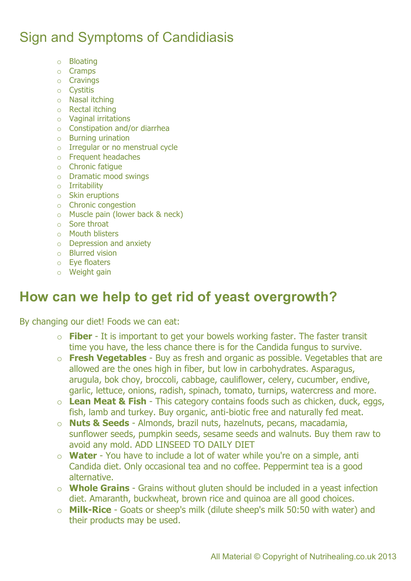## Sign and Symptoms of Candidiasis

- o Bloating
- o Cramps
- o Cravings
- o Cystitis
- o Nasal itching
- o Rectal itching
- o Vaginal irritations
- o Constipation and/or diarrhea
- o Burning urination
- o Irregular or no menstrual cycle
- o Frequent headaches
- o Chronic fatigue
- o Dramatic mood swings
- o Irritability
- o Skin eruptions
- o Chronic congestion
- o Muscle pain (lower back & neck)
- o Sore throat
- o Mouth blisters
- o Depression and anxiety
- o Blurred vision
- o Eye floaters
- o Weight gain

#### **How can we help to get rid of yeast overgrowth?**

By changing our diet! Foods we can eat:

- o **Fiber** It is important to get your bowels working faster. The faster transit time you have, the less chance there is for the Candida fungus to survive.
- o **Fresh Vegetables** Buy as fresh and organic as possible. Vegetables that are allowed are the ones high in fiber, but low in carbohydrates. Asparagus, arugula, bok choy, broccoli, cabbage, cauliflower, celery, cucumber, endive, garlic, lettuce, onions, radish, spinach, tomato, turnips, watercress and more.
- o **Lean Meat & Fish** This category contains foods such as chicken, duck, eggs, fish, lamb and turkey. Buy organic, anti-biotic free and naturally fed meat.
- o **Nuts & Seeds** Almonds, brazil nuts, hazelnuts, pecans, macadamia, sunflower seeds, pumpkin seeds, sesame seeds and walnuts. Buy them raw to avoid any mold. ADD LINSEED TO DAILY DIET
- o **Water** You have to include a lot of water while you're on a simple, anti Candida diet. Only occasional tea and no coffee. Peppermint tea is a good alternative.
- o **Whole Grains**  Grains without gluten should be included in a yeast infection diet. Amaranth, buckwheat, brown rice and quinoa are all good choices.
- o **Milk-Rice** Goats or sheep's milk (dilute sheep's milk 50:50 with water) and their products may be used.